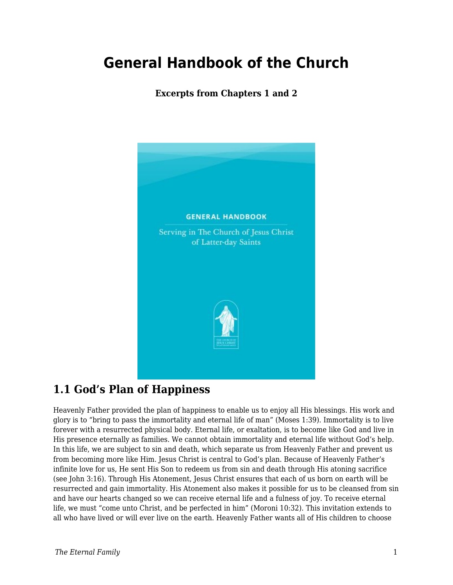# **General Handbook of the Church**

#### **Excerpts from Chapters 1 and 2**



#### **1.1 God's Plan of Happiness**

Heavenly Father provided the plan of happiness to enable us to enjoy all His blessings. His work and glory is to "bring to pass the immortality and eternal life of man" (Moses 1:39). Immortality is to live forever with a resurrected physical body. Eternal life, or exaltation, is to become like God and live in His presence eternally as families. We cannot obtain immortality and eternal life without God's help. In this life, we are subject to sin and death, which separate us from Heavenly Father and prevent us from becoming more like Him. Jesus Christ is central to God's plan. Because of Heavenly Father's infinite love for us, He sent His Son to redeem us from sin and death through His atoning sacrifice (see John 3:16). Through His Atonement, Jesus Christ ensures that each of us born on earth will be resurrected and gain immortality. His Atonement also makes it possible for us to be cleansed from sin and have our hearts changed so we can receive eternal life and a fulness of joy. To receive eternal life, we must "come unto Christ, and be perfected in him" (Moroni 10:32). This invitation extends to all who have lived or will ever live on the earth. Heavenly Father wants all of His children to choose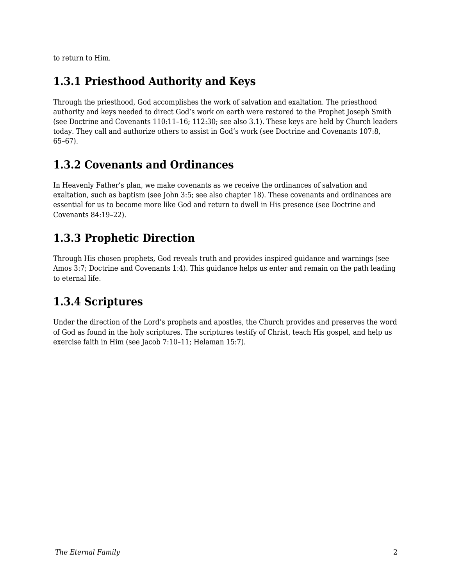to return to Him.

### **1.3.1 Priesthood Authority and Keys**

Through the priesthood, God accomplishes the work of salvation and exaltation. The priesthood authority and keys needed to direct God's work on earth were restored to the Prophet Joseph Smith (see Doctrine and Covenants 110:11–16; 112:30; see also 3.1). These keys are held by Church leaders today. They call and authorize others to assist in God's work (see Doctrine and Covenants 107:8, 65–67).

#### **1.3.2 Covenants and Ordinances**

In Heavenly Father's plan, we make covenants as we receive the ordinances of salvation and exaltation, such as baptism (see John 3:5; see also chapter 18). These covenants and ordinances are essential for us to become more like God and return to dwell in His presence (see Doctrine and Covenants 84:19–22).

### **1.3.3 Prophetic Direction**

Through His chosen prophets, God reveals truth and provides inspired guidance and warnings (see Amos 3:7; Doctrine and Covenants 1:4). This guidance helps us enter and remain on the path leading to eternal life.

## **1.3.4 Scriptures**

Under the direction of the Lord's prophets and apostles, the Church provides and preserves the word of God as found in the holy scriptures. The scriptures testify of Christ, teach His gospel, and help us exercise faith in Him (see Jacob 7:10–11; Helaman 15:7).